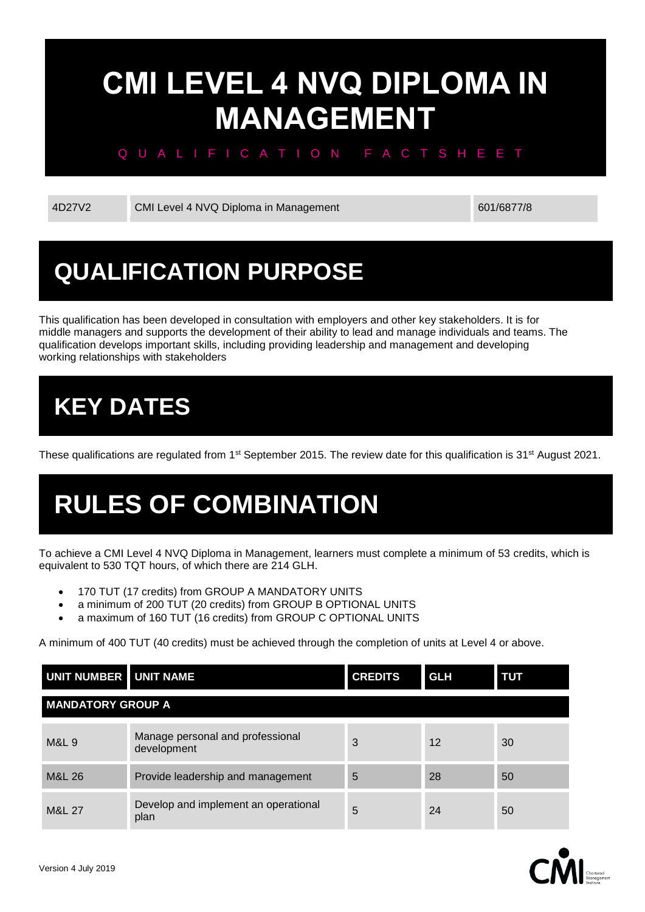# **CMI LEVEL 4 NVQ DIPLOMA IN MANAGEMENT**

#### Q U A L I F I C A T I O N F A C T S H E E T

4D27V2 CMI Level 4 NVQ Diploma in Management 601/6877/8

## **QUALIFICATION PURPOSE**

This qualification has been developed in consultation with employers and other key stakeholders. It is for middle managers and supports the development of their ability to lead and manage individuals and teams. The qualification develops important skills, including providing leadership and management and developing working relationships with stakeholders

## **KEY DATES**

These qualifications are regulated from  $1<sup>st</sup>$  September 2015. The review date for this qualification is 31<sup>st</sup> August 2021.

## **RULES OF COMBINATION**

To achieve a CMI Level 4 NVQ Diploma in Management, learners must complete a minimum of 53 credits, which is equivalent to 530 TQT hours, of which there are 214 GLH.

- 170 TUT (17 credits) from GROUP A MANDATORY UNITS
- a minimum of 200 TUT (20 credits) from GROUP B OPTIONAL UNITS
- a maximum of 160 TUT (16 credits) from GROUP C OPTIONAL UNITS

A minimum of 400 TUT (40 credits) must be achieved through the completion of units at Level 4 or above.

| UNIT NUMBER UNIT NAME    |                                                 | <b>CREDITS</b> | <b>GLH</b> | τυτ |  |  |
|--------------------------|-------------------------------------------------|----------------|------------|-----|--|--|
| <b>MANDATORY GROUP A</b> |                                                 |                |            |     |  |  |
| <b>M&amp;L 9</b>         | Manage personal and professional<br>development | 3              | 12         | 30  |  |  |
| <b>M&amp;L 26</b>        | Provide leadership and management               | 5              | 28         | 50  |  |  |
| <b>M&amp;L 27</b>        | Develop and implement an operational<br>plan    | 5              | 24         | 50  |  |  |

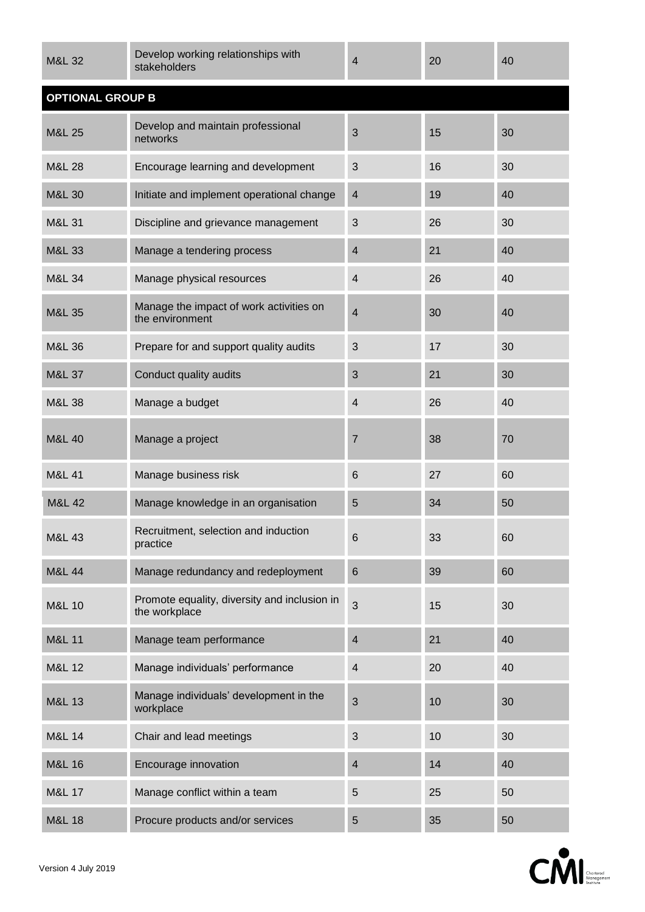| <b>M&amp;L 32</b>       | Develop working relationships with<br>stakeholders            | 4                       | 20 | 40 |  |  |  |
|-------------------------|---------------------------------------------------------------|-------------------------|----|----|--|--|--|
| <b>OPTIONAL GROUP B</b> |                                                               |                         |    |    |  |  |  |
| <b>M&amp;L 25</b>       | Develop and maintain professional<br>networks                 | 3                       | 15 | 30 |  |  |  |
| <b>M&amp;L 28</b>       | Encourage learning and development                            | 3                       | 16 | 30 |  |  |  |
| <b>M&amp;L 30</b>       | Initiate and implement operational change                     | 4                       | 19 | 40 |  |  |  |
| M&L 31                  | Discipline and grievance management                           | 3                       | 26 | 30 |  |  |  |
| M&L 33                  | Manage a tendering process                                    | $\overline{4}$          | 21 | 40 |  |  |  |
| <b>M&amp;L 34</b>       | Manage physical resources                                     | 4                       | 26 | 40 |  |  |  |
| <b>M&amp;L 35</b>       | Manage the impact of work activities on<br>the environment    | $\overline{4}$          | 30 | 40 |  |  |  |
| <b>M&amp;L 36</b>       | Prepare for and support quality audits                        | 3                       | 17 | 30 |  |  |  |
| <b>M&amp;L 37</b>       | Conduct quality audits                                        | 3                       | 21 | 30 |  |  |  |
| <b>M&amp;L 38</b>       | Manage a budget                                               | 4                       | 26 | 40 |  |  |  |
| <b>M&amp;L 40</b>       | Manage a project                                              | 7                       | 38 | 70 |  |  |  |
| <b>M&amp;L 41</b>       | Manage business risk                                          | $6\phantom{1}6$         | 27 | 60 |  |  |  |
| <b>M&amp;L 42</b>       | Manage knowledge in an organisation                           | 5                       | 34 | 50 |  |  |  |
| M&L 43                  | Recruitment, selection and induction<br>practice              | $6\phantom{1}6$         | 33 | 60 |  |  |  |
| <b>M&amp;L 44</b>       | Manage redundancy and redeployment                            | $6\phantom{1}6$         | 39 | 60 |  |  |  |
| <b>M&amp;L 10</b>       | Promote equality, diversity and inclusion in<br>the workplace | 3                       | 15 | 30 |  |  |  |
| <b>M&amp;L 11</b>       | Manage team performance                                       | $\overline{\mathbf{4}}$ | 21 | 40 |  |  |  |
| M&L 12                  | Manage individuals' performance                               | 4                       | 20 | 40 |  |  |  |
| M&L 13                  | Manage individuals' development in the<br>workplace           | 3                       | 10 | 30 |  |  |  |
| <b>M&amp;L 14</b>       | Chair and lead meetings                                       | 3                       | 10 | 30 |  |  |  |
| <b>M&amp;L 16</b>       | Encourage innovation                                          | $\overline{4}$          | 14 | 40 |  |  |  |
| M&L 17                  | Manage conflict within a team                                 | 5                       | 25 | 50 |  |  |  |
| <b>M&amp;L 18</b>       | Procure products and/or services                              | 5                       | 35 | 50 |  |  |  |